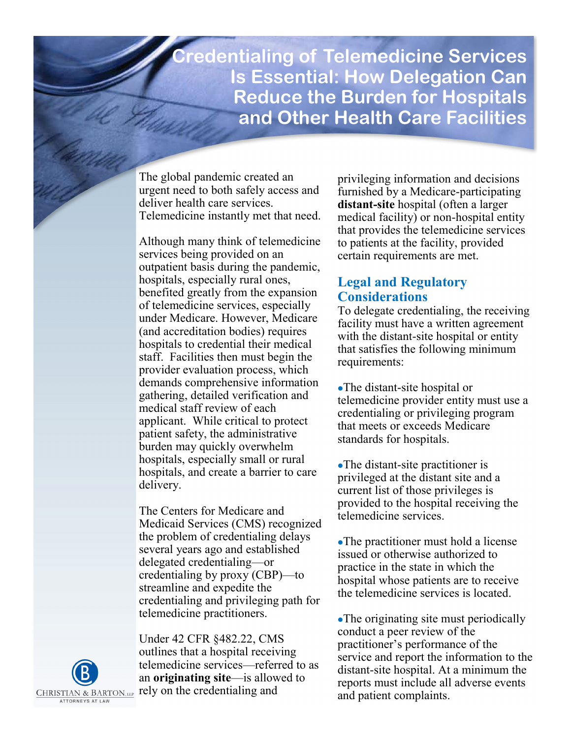**Credentialing of Telemedicine Services Is Essential: How Delegation Can Reduce the Burden for Hospitals and Other Health Care Facilities** 

The global pandemic created an urgent need to both safely access and deliver health care services. Telemedicine instantly met that need.

Although many think of telemedicine services being provided on an outpatient basis during the pandemic, hospitals, especially rural ones, benefited greatly from the expansion of telemedicine services, especially under Medicare. However, Medicare (and accreditation bodies) requires hospitals to credential their medical staff. Facilities then must begin the provider evaluation process, which demands comprehensive information gathering, detailed verification and medical staff review of each applicant. While critical to protect patient safety, the administrative burden may quickly overwhelm hospitals, especially small or rural hospitals, and create a barrier to care delivery.

The Centers for Medicare and Medicaid Services (CMS) recognized the problem of credentialing delays several years ago and established delegated credentialing—or credentialing by proxy (CBP)—to streamline and expedite the credentialing and privileging path for telemedicine practitioners.

Under 42 CFR §482.22, CMS outlines that a hospital receiving telemedicine services—referred to as an **originating site**—is allowed to rely on the credentialing and

privileging information and decisions furnished by a Medicare-participating **distant-site** hospital (often a larger medical facility) or non-hospital entity that provides the telemedicine services to patients at the facility, provided certain requirements are met.

## **Legal and Regulatory Considerations**

To delegate credentialing, the receiving facility must have a written agreement with the distant-site hospital or entity that satisfies the following minimum requirements:

- ⚫The distant-site hospital or telemedicine provider entity must use a credentialing or privileging program that meets or exceeds Medicare standards for hospitals.
- ⚫The distant-site practitioner is privileged at the distant site and a current list of those privileges is provided to the hospital receiving the telemedicine services.
- ⚫The practitioner must hold a license issued or otherwise authorized to practice in the state in which the hospital whose patients are to receive the telemedicine services is located.

⚫The originating site must periodically conduct a peer review of the practitioner's performance of the service and report the information to the distant-site hospital. At a minimum the reports must include all adverse events and patient complaints.